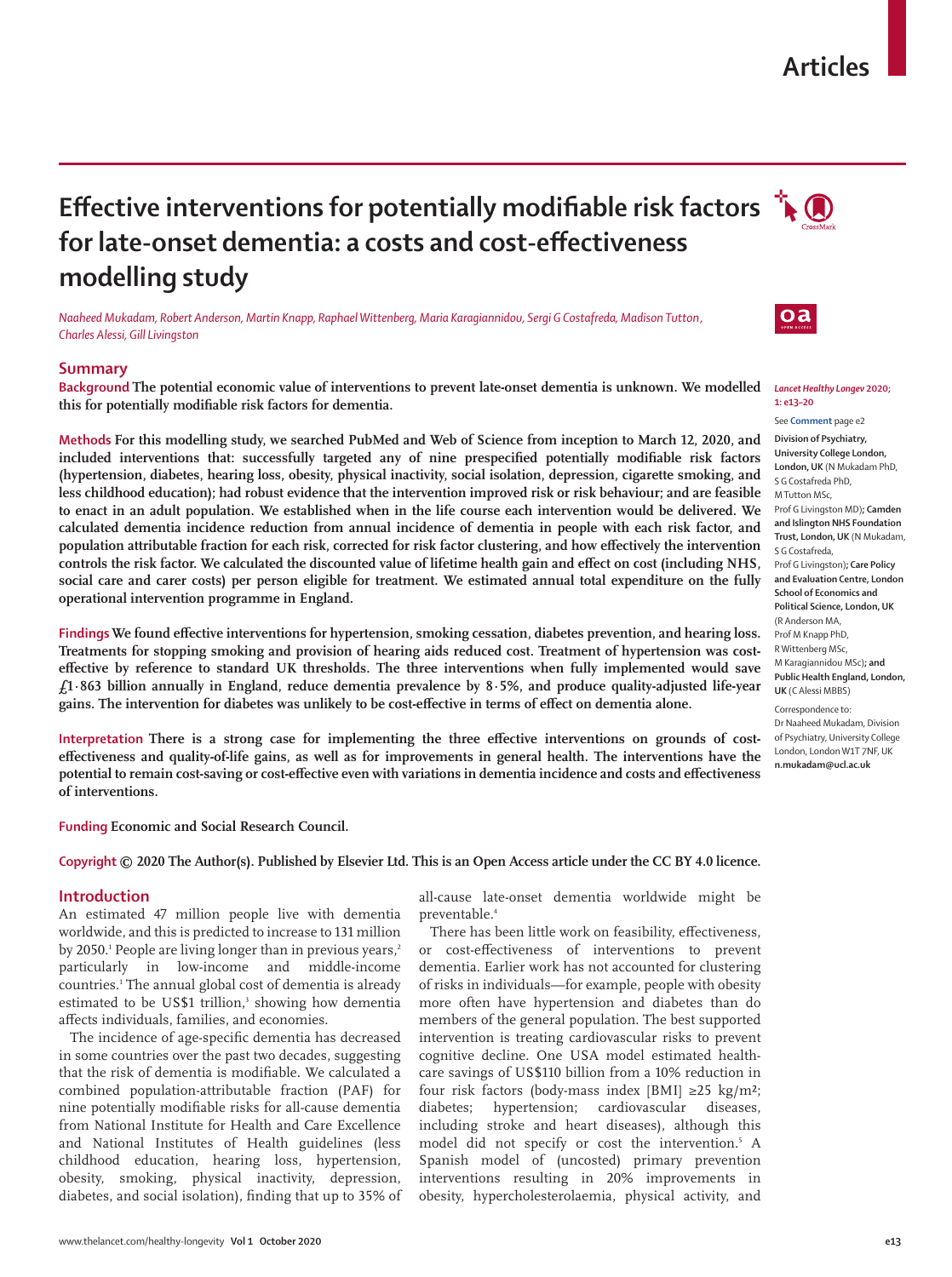# **Articles**

# **Effective interventions for potentially modifiable risk factors**  $\mathbf{\hat{A}}$ **for late-onset dementia: a costs and cost-effectiveness modelling study**

*Naaheed Mukadam, Robert Anderson, Martin Knapp, Raphael Wittenberg, Maria Karagiannidou, Sergi G Costafreda, Madison Tutton, Charles Alessi, Gill Livingston*

### **Summary**

**Background The potential economic value of interventions to prevent late-onset dementia is unknown. We modelled this for potentially modifiable risk factors for dementia.**

**Methods For this modelling study, we searched PubMed and Web of Science from inception to March 12, 2020, and included interventions that: successfully targeted any of nine prespecified potentially modifiable risk factors (hypertension, diabetes, hearing loss, obesity, physical inactivity, social isolation, depression, cigarette smoking, and less childhood education); had robust evidence that the intervention improved risk or risk behaviour; and are feasible to enact in an adult population. We established when in the life course each intervention would be delivered. We calculated dementia incidence reduction from annual incidence of dementia in people with each risk factor, and population attributable fraction for each risk, corrected for risk factor clustering, and how effectively the intervention controls the risk factor. We calculated the discounted value of lifetime health gain and effect on cost (including NHS, social care and carer costs) per person eligible for treatment. We estimated annual total expenditure on the fully operational intervention programme in England.**

**Findings We found effective interventions for hypertension, smoking cessation, diabetes prevention, and hearing loss. Treatments for stopping smoking and provision of hearing aids reduced cost. Treatment of hypertension was costeffective by reference to standard UK thresholds. The three interventions when fully implemented would save £1·863 billion annually in England, reduce dementia prevalence by 8·5%, and produce quality-adjusted life-year gains. The intervention for diabetes was unlikely to be cost-effective in terms of effect on dementia alone.**

**Interpretation There is a strong case for implementing the three effective interventions on grounds of costeffectiveness and quality-of-life gains, as well as for improvements in general health. The interventions have the potential to remain cost-saving or cost-effective even with variations in dementia incidence and costs and effectiveness of interventions.**

**Funding Economic and Social Research Council.**

## **Copyright © 2020 The Author(s). Published by Elsevier Ltd. This is an Open Access article under the CC BY 4.0 licence.**

#### **Introduction**

An estimated 47 million people live with dementia worldwide, and this is predicted to increase to 131 million by 2050.<sup>1</sup> People are living longer than in previous years,<sup>2</sup> particularly in low-income and middle-income countries.1 The annual global cost of dementia is already estimated to be US\$1 trillion,<sup>3</sup> showing how dementia affects individuals, families, and economies.

The incidence of age-specific dementia has decreased in some countries over the past two decades, suggesting that the risk of dementia is modifiable. We calculated a combined population-attributable fraction (PAF) for nine potentially modifiable risks for all-cause dementia from National Institute for Health and Care Excellence and National Institutes of Health guidelines (less childhood education, hearing loss, hypertension, obesity, smoking, physical inactivity, depression, diabetes, and social isolation), finding that up to 35% of all-cause late-onset dementia worldwide might be preventable.<sup>4</sup>

There has been little work on feasibility, effectiveness, or cost-effectiveness of interventions to prevent dementia. Earlier work has not accounted for clustering of risks in individuals—for example, people with obesity more often have hypertension and diabetes than do members of the general population. The best supported intervention is treating cardiovascular risks to prevent cognitive decline. One USA model estimated healthcare savings of US\$110 billion from a 10% reduction in four risk factors (body-mass index [BMI]  $\geq 25$  kg/m<sup>2</sup>; diabetes; hypertension; cardiovascular diseases, including stroke and heart diseases), although this model did not specify or cost the intervention.<sup>5</sup> A Spanish model of (uncosted) primary prevention interventions resulting in 20% improvements in obesity, hypercholesterolaemia, physical activity, and



 $oa$ 



**1: e13–20** See **Comment** page e2

**Division of Psychiatry, University College London, London, UK** (N Mukadam PhD, S G Costafreda PhD, M Tutton MSc,

Prof G Livingston MD)**; Camden and Islington NHS Foundation Trust, London, UK** (N Mukadam, S G Costafreda,

Prof G Livingston)**; Care Policy and Evaluation Centre, London School of Economics and Political Science, London, UK**  (R Anderson MA, Prof M Knapp PhD, R Wittenberg MSc, M Karagiannidou MSc)**; and Public Health England, London, UK** (C Alessi MBBS)

Correspondence to: Dr Naaheed Mukadam, Division of Psychiatry, University College London, London W1T 7NF, UK **n.mukadam@ucl.ac.uk**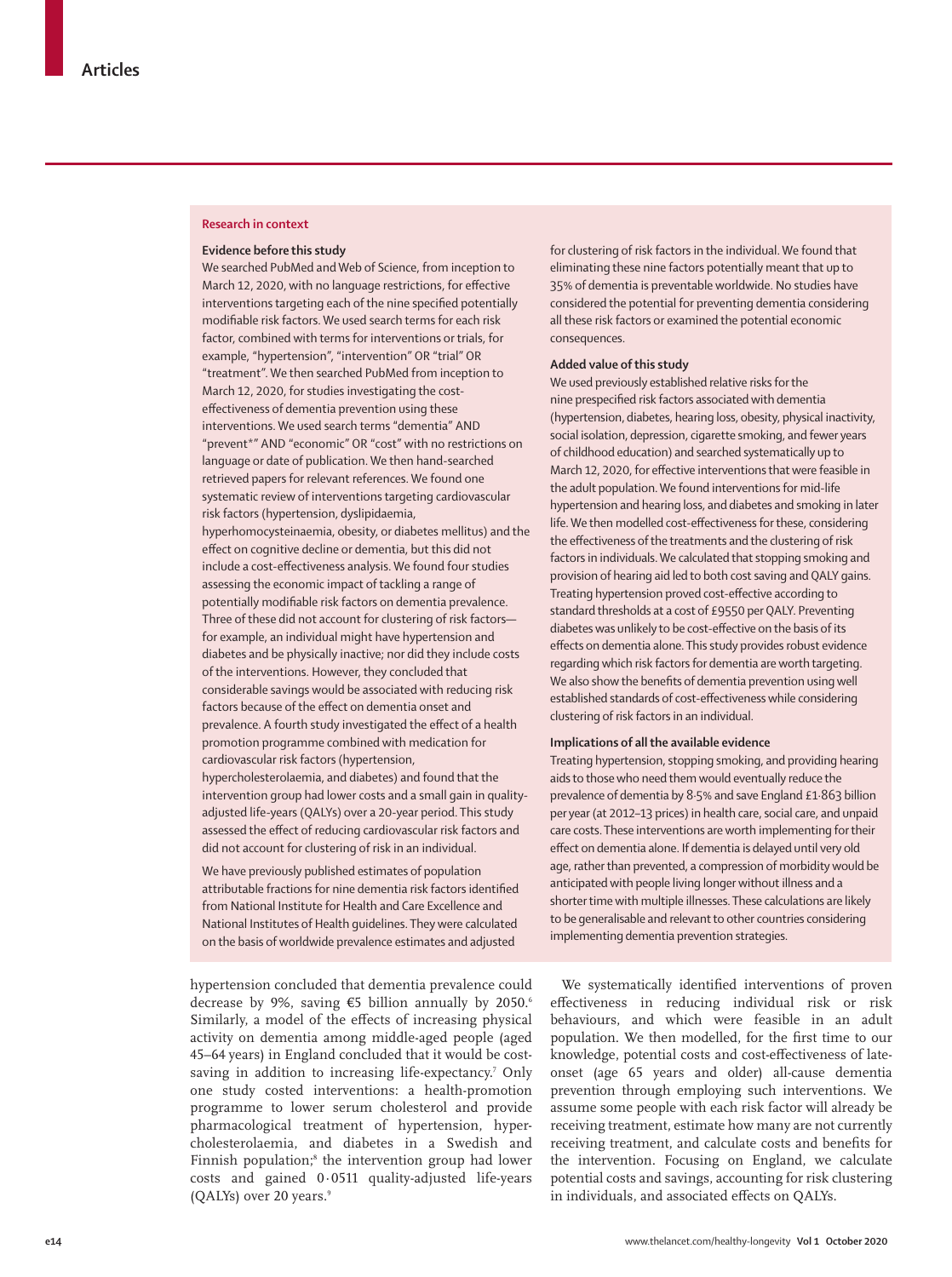#### **Research in context**

#### **Evidence before this study**

We searched PubMed and Web of Science, from inception to March 12, 2020, with no language restrictions, for effective interventions targeting each of the nine specified potentially modifiable risk factors. We used search terms for each risk factor, combined with terms for interventions or trials, for example, "hypertension", "intervention" OR "trial" OR "treatment". We then searched PubMed from inception to March 12, 2020, for studies investigating the costeffectiveness of dementia prevention using these interventions. We used search terms "dementia" AND "prevent\*" AND "economic" OR "cost" with no restrictions on language or date of publication. We then hand-searched retrieved papers for relevant references. We found one systematic review of interventions targeting cardiovascular risk factors (hypertension, dyslipidaemia, hyperhomocysteinaemia, obesity, or diabetes mellitus) and the effect on cognitive decline or dementia, but this did not include a cost-effectiveness analysis. We found four studies assessing the economic impact of tackling a range of potentially modifiable risk factors on dementia prevalence. Three of these did not account for clustering of risk factors for example, an individual might have hypertension and diabetes and be physically inactive; nor did they include costs of the interventions. However, they concluded that considerable savings would be associated with reducing risk factors because of the effect on dementia onset and prevalence. A fourth study investigated the effect of a health promotion programme combined with medication for cardiovascular risk factors (hypertension, hypercholesterolaemia, and diabetes) and found that the intervention group had lower costs and a small gain in quality-

adjusted life-years (QALYs) over a 20-year period. This study assessed the effect of reducing cardiovascular risk factors and did not account for clustering of risk in an individual.

We have previously published estimates of population attributable fractions for nine dementia risk factors identified from National Institute for Health and Care Excellence and National Institutes of Health guidelines. They were calculated on the basis of worldwide prevalence estimates and adjusted

hypertension concluded that dementia prevalence could decrease by 9%, saving €5 billion annually by 2050.6 Similarly, a model of the effects of increasing physical activity on dementia among middle-aged people (aged 45–64 years) in England concluded that it would be costsaving in addition to increasing life-expectancy.<sup>7</sup> Only one study costed interventions: a health-promotion programme to lower serum cholesterol and provide pharmacological treatment of hypertension, hypercholesterolaemia, and diabetes in a Swedish and Finnish population;<sup>8</sup> the intervention group had lower costs and gained 0·0511 quality-adjusted life-years (QALYs) over 20 years.<sup>9</sup>

for clustering of risk factors in the individual. We found that eliminating these nine factors potentially meant that up to 35% of dementia is preventable worldwide. No studies have considered the potential for preventing dementia considering all these risk factors or examined the potential economic consequences.

#### **Added value of this study**

We used previously established relative risks for the nine prespecified risk factors associated with dementia (hypertension, diabetes, hearing loss, obesity, physical inactivity, social isolation, depression, cigarette smoking, and fewer years of childhood education) and searched systematically up to March 12, 2020, for effective interventions that were feasible in the adult population. We found interventions for mid-life hypertension and hearing loss, and diabetes and smoking in later life. We then modelled cost-effectiveness for these, considering the effectiveness of the treatments and the clustering of risk factors in individuals. We calculated that stopping smoking and provision of hearing aid led to both cost saving and QALY gains. Treating hypertension proved cost-effective according to standard thresholds at a cost of £9550 per QALY. Preventing diabetes was unlikely to be cost-effective on the basis of its effects on dementia alone. This study provides robust evidence regarding which risk factors for dementia are worth targeting. We also show the benefits of dementia prevention using well established standards of cost-effectiveness while considering clustering of risk factors in an individual.

#### **Implications of all the available evidence**

Treating hypertension, stopping smoking, and providing hearing aids to those who need them would eventually reduce the prevalence of dementia by 8·5% and save England £1·863 billion per year (at 2012–13 prices) in health care, social care, and unpaid care costs. These interventions are worth implementing for their effect on dementia alone. If dementia is delayed until very old age, rather than prevented, a compression of morbidity would be anticipated with people living longer without illness and a shorter time with multiple illnesses. These calculations are likely to be generalisable and relevant to other countries considering implementing dementia prevention strategies.

We systematically identified interventions of proven effectiveness in reducing individual risk or risk behaviours, and which were feasible in an adult population. We then modelled, for the first time to our knowledge, potential costs and cost-effectiveness of lateonset (age 65 years and older) all-cause dementia prevention through employing such interventions. We assume some people with each risk factor will already be receiving treatment, estimate how many are not currently receiving treatment, and calculate costs and benefits for the intervention. Focusing on England, we calculate potential costs and savings, accounting for risk clustering in individuals, and associated effects on QALYs.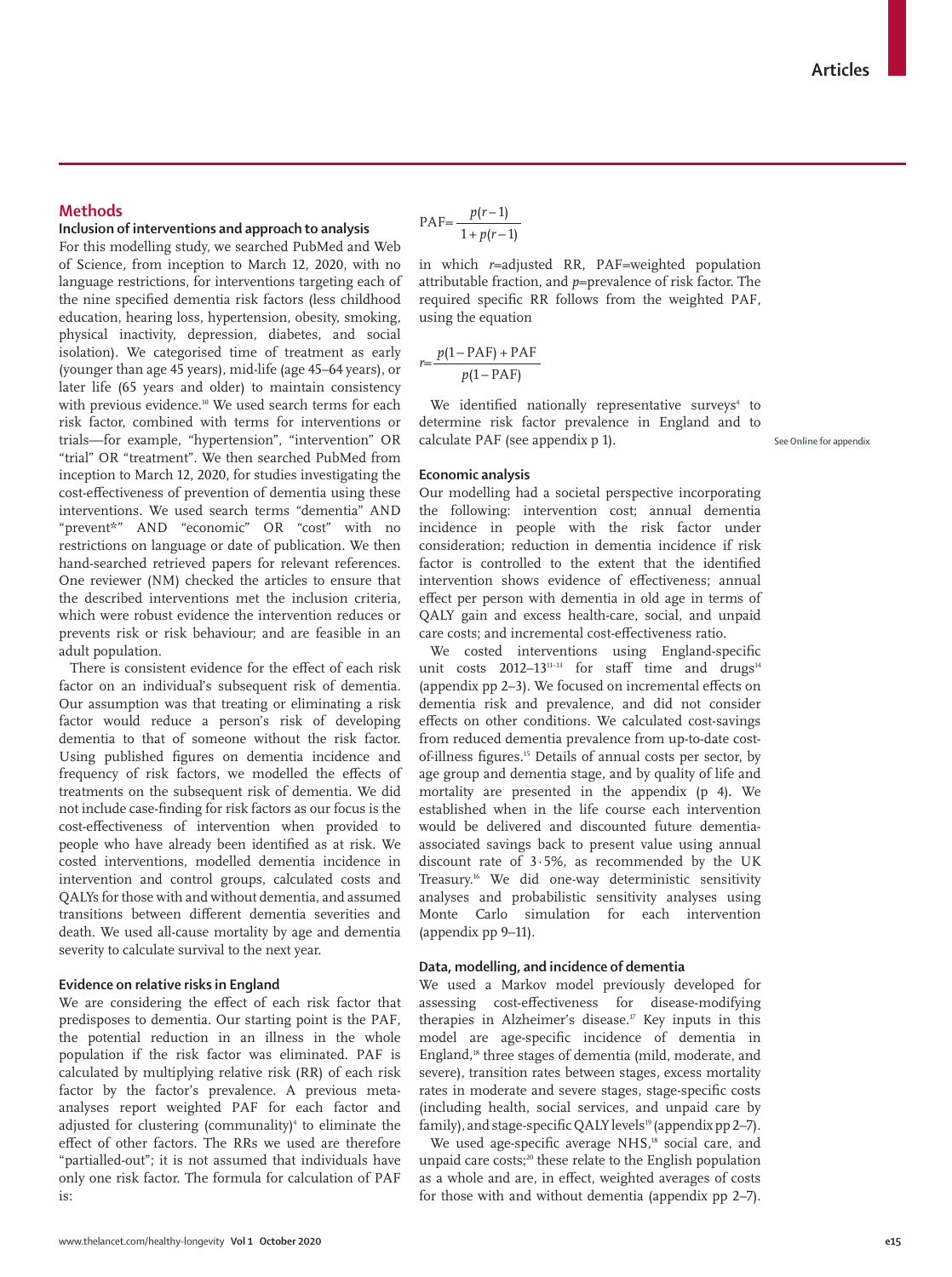## **Methods**

# **Inclusion of interventions and approach to analysis**

For this modelling study, we searched PubMed and Web of Science, from inception to March 12, 2020, with no language restrictions, for interventions targeting each of the nine specified dementia risk factors (less childhood education, hearing loss, hypertension, obesity, smoking, physical inactivity, depression, diabetes, and social isolation). We categorised time of treatment as early (younger than age 45 years), mid-life (age 45–64 years), or later life (65 years and older) to maintain consistency with previous evidence.<sup>10</sup> We used search terms for each risk factor, combined with terms for interventions or trials—for example, "hypertension", "intervention" OR "trial" OR "treatment". We then searched PubMed from inception to March 12, 2020, for studies investigating the cost-effectiveness of prevention of dementia using these interventions. We used search terms "dementia" AND "prevent\*" AND "economic" OR "cost" with no restrictions on language or date of publication. We then hand-searched retrieved papers for relevant references. One reviewer (NM) checked the articles to ensure that the described interventions met the inclusion criteria, which were robust evidence the intervention reduces or prevents risk or risk behaviour; and are feasible in an adult population.

There is consistent evidence for the effect of each risk factor on an individual's subsequent risk of dementia. Our assumption was that treating or eliminating a risk factor would reduce a person's risk of developing dementia to that of someone without the risk factor. Using published figures on dementia incidence and frequency of risk factors, we modelled the effects of treatments on the subsequent risk of dementia. We did not include case-finding for risk factors as our focus is the cost-effectiveness of intervention when provided to people who have already been identified as at risk. We costed interventions, modelled dementia incidence in intervention and control groups, calculated costs and QALYs for those with and without dementia, and assumed transitions between different dementia severities and death. We used all-cause mortality by age and dementia severity to calculate survival to the next year.

#### **Evidence on relative risks in England**

We are considering the effect of each risk factor that predisposes to dementia. Our starting point is the PAF, the potential reduction in an illness in the whole population if the risk factor was eliminated. PAF is calculated by multiplying relative risk (RR) of each risk factor by the factor's prevalence. A previous metaanalyses report weighted PAF for each factor and adjusted for clustering (communality)<sup>4</sup> to eliminate the effect of other factors. The RRs we used are therefore "partialled-out"; it is not assumed that individuals have only one risk factor. The formula for calculation of PAF is:

$$
PAF = \frac{p(r-1)}{1 + p(r-1)}
$$

in which *r*=adjusted RR, PAF=weighted population attributable fraction, and *p*=prevalence of risk factor. The required specific RR follows from the weighted PAF, using the equation

$$
r = \frac{p(1 - PAF) + PAF}{p(1 - PAF)}
$$

We identified nationally representative surveys<sup>4</sup> to determine risk factor prevalence in England and to calculate PAF (see appendix p 1).

See **Online** for appendix

#### **Economic analysis**

Our modelling had a societal perspective incorporating the following: intervention cost; annual dementia incidence in people with the risk factor under consideration; reduction in dementia incidence if risk factor is controlled to the extent that the identified intervention shows evidence of effectiveness; annual effect per person with dementia in old age in terms of QALY gain and excess health-care, social, and unpaid care costs; and incremental cost-effectiveness ratio.

We costed interventions using England-specific unit costs  $2012-13^{11-13}$  for staff time and drugs<sup>14</sup> (appendix pp 2–3). We focused on incremental effects on dementia risk and prevalence, and did not consider effects on other conditions. We calculated cost-savings from reduced dementia prevalence from up-to-date costof-illness figures.15 Details of annual costs per sector, by age group and dementia stage, and by quality of life and mortality are presented in the appendix (p 4)**.** We established when in the life course each intervention would be delivered and discounted future dementiaassociated savings back to present value using annual discount rate of 3·5%, as recommended by the UK Treasury.16 We did one-way deterministic sensitivity analyses and probabilistic sensitivity analyses using Monte Carlo simulation for each intervention (appendix pp 9–11).

## **Data, modelling, and incidence of dementia**

We used a Markov model previously developed for assessing cost-effectiveness for disease-modifying therapies in Alzheimer's disease.<sup>17</sup> Key inputs in this model are age-specific incidence of dementia in England,18 three stages of dementia (mild, moderate, and severe), transition rates between stages, excess mortality rates in moderate and severe stages, stage-specific costs (including health, social services, and unpaid care by family), and stage-specific QALY levels<sup>19</sup> (appendix pp 2-7).

We used age-specific average NHS,<sup>18</sup> social care, and unpaid care costs;<sup>20</sup> these relate to the English population as a whole and are, in effect, weighted averages of costs for those with and without dementia (appendix pp 2–7).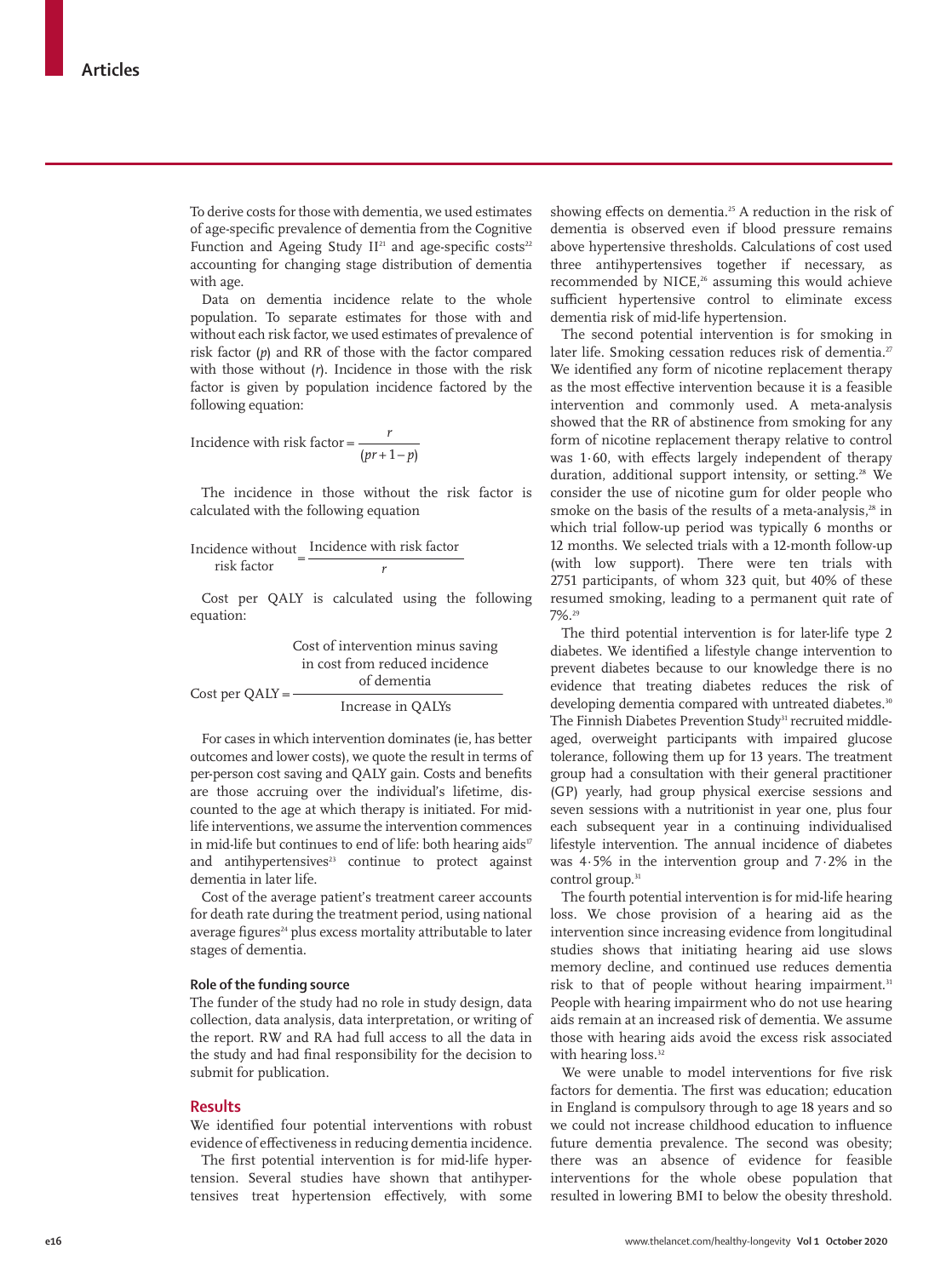To derive costs for those with dementia, we used estimates of age-specific prevalence of dementia from the Cognitive Function and Ageing Study  $II^{21}$  and age-specific costs<sup>22</sup> accounting for changing stage distribution of dementia with age.

Data on dementia incidence relate to the whole population. To separate estimates for those with and without each risk factor, we used estimates of prevalence of risk factor (*p*) and RR of those with the factor compared with those without (*r*). Incidence in those with the risk factor is given by population incidence factored by the following equation:

$$
Incidence with risk factor = \frac{r}{(pr+1-p)}
$$

The incidence in those without the risk factor is calculated with the following equation

$$
Incidence without risk factor risk factor r
$$

Cost per QALY is calculated using the following equation:

|                   | Cost of intervention minus saving |
|-------------------|-----------------------------------|
|                   | in cost from reduced incidence    |
| $Cost per QALY =$ | of dementia                       |
|                   | Increase in QALYs                 |

For cases in which intervention dominates (ie, has better outcomes and lower costs), we quote the result in terms of per-person cost saving and QALY gain. Costs and benefits are those accruing over the individual's lifetime, discounted to the age at which therapy is initiated. For midlife interventions, we assume the intervention commences in mid-life but continues to end of life: both hearing aids<sup>17</sup> and antihypertensives $23$  continue to protect against dementia in later life.

Cost of the average patient's treatment career accounts for death rate during the treatment period, using national average figures<sup>24</sup> plus excess mortality attributable to later stages of dementia.

## **Role of the funding source**

The funder of the study had no role in study design, data collection, data analysis, data interpretation, or writing of the report. RW and RA had full access to all the data in the study and had final responsibility for the decision to submit for publication.

#### **Results**

We identified four potential interventions with robust evidence of effectiveness in reducing dementia incidence.

The first potential intervention is for mid-life hypertension. Several studies have shown that antihypertensives treat hypertension effectively, with some showing effects on dementia.25 A reduction in the risk of dementia is observed even if blood pressure remains above hypertensive thresholds. Calculations of cost used three antihypertensives together if necessary, as recommended by NICE,<sup>26</sup> assuming this would achieve sufficient hypertensive control to eliminate excess dementia risk of mid-life hypertension.

The second potential intervention is for smoking in later life. Smoking cessation reduces risk of dementia.<sup>27</sup> We identified any form of nicotine replacement therapy as the most effective intervention because it is a feasible intervention and commonly used. A meta-analysis showed that the RR of abstinence from smoking for any form of nicotine replacement therapy relative to control was 1·60, with effects largely independent of therapy duration, additional support intensity, or setting.<sup>28</sup> We consider the use of nicotine gum for older people who smoke on the basis of the results of a meta-analysis, $28$  in which trial follow-up period was typically 6 months or 12 months. We selected trials with a 12-month follow-up (with low support). There were ten trials with 2751 participants, of whom 323 quit, but 40% of these resumed smoking, leading to a permanent quit rate of 7%.29

The third potential intervention is for later-life type 2 diabetes. We identified a lifestyle change intervention to prevent diabetes because to our knowledge there is no evidence that treating diabetes reduces the risk of developing dementia compared with untreated diabetes.<sup>30</sup> The Finnish Diabetes Prevention Study<sup>31</sup> recruited middleaged, overweight participants with impaired glucose tolerance, following them up for 13 years. The treatment group had a consultation with their general practitioner (GP) yearly, had group physical exercise sessions and seven sessions with a nutritionist in year one, plus four each subsequent year in a continuing individualised lifestyle intervention. The annual incidence of diabetes was 4·5% in the intervention group and 7·2% in the control group.<sup>31</sup>

The fourth potential intervention is for mid-life hearing loss. We chose provision of a hearing aid as the intervention since increasing evidence from longitudinal studies shows that initiating hearing aid use slows memory decline, and continued use reduces dementia risk to that of people without hearing impairment.<sup>31</sup> People with hearing impairment who do not use hearing aids remain at an increased risk of dementia. We assume those with hearing aids avoid the excess risk associated with hearing loss.<sup>32</sup>

We were unable to model interventions for five risk factors for dementia. The first was education; education in England is compulsory through to age 18 years and so we could not increase childhood education to influence future dementia prevalence. The second was obesity; there was an absence of evidence for feasible interventions for the whole obese population that resulted in lowering BMI to below the obesity threshold.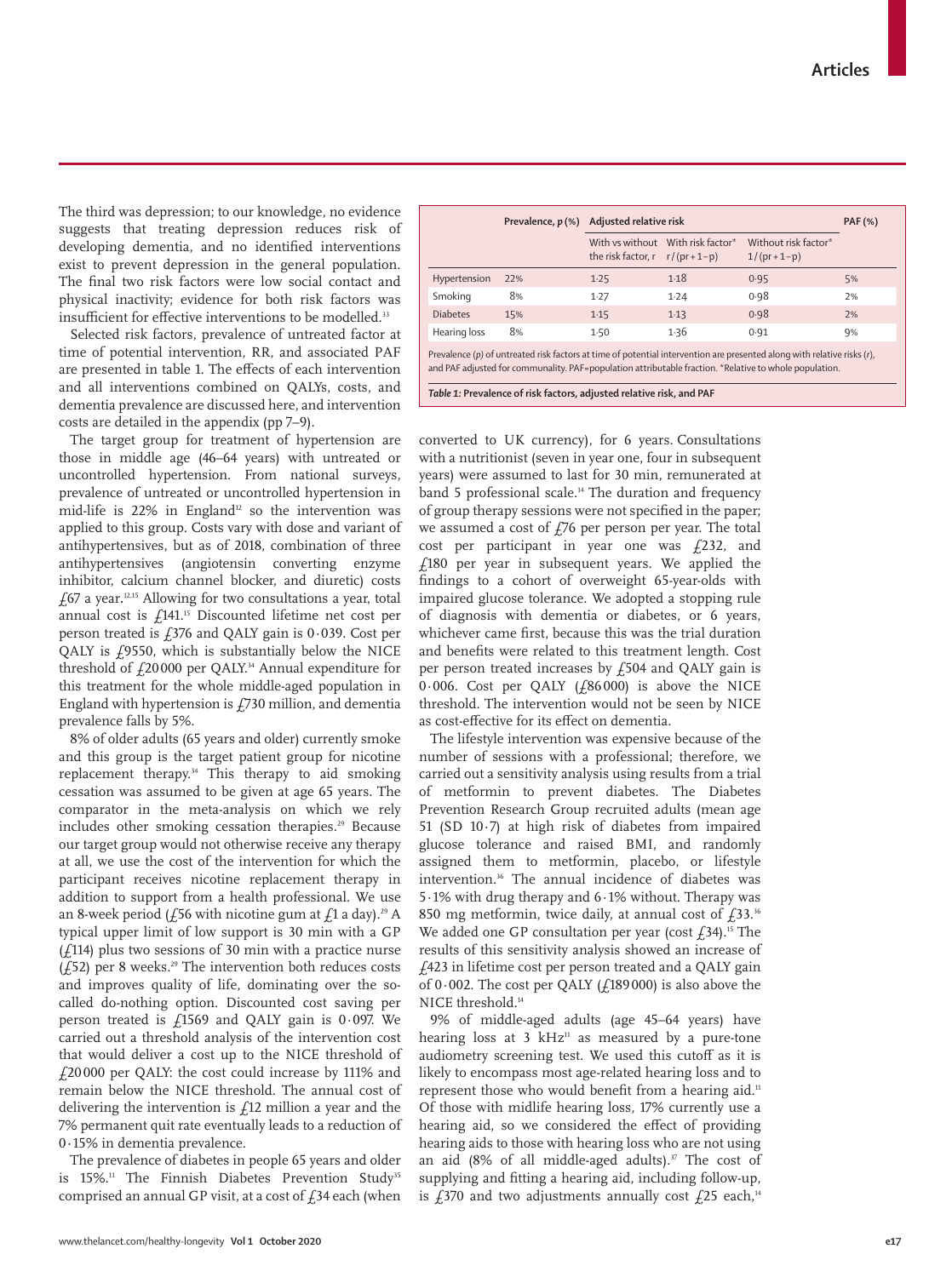The third was depression; to our knowledge, no evidence suggests that treating depression reduces risk of developing dementia, and no identified interventions exist to prevent depression in the general population. The final two risk factors were low social contact and physical inactivity; evidence for both risk factors was insufficient for effective interventions to be modelled.<sup>33</sup>

Selected risk factors, prevalence of untreated factor at time of potential intervention, RR, and associated PAF are presented in table 1. The effects of each intervention and all interventions combined on QALYs, costs, and dementia prevalence are discussed here, and intervention costs are detailed in the appendix (pp 7–9).

The target group for treatment of hypertension are those in middle age (46–64 years) with untreated or uncontrolled hypertension. From national surveys, prevalence of untreated or uncontrolled hypertension in mid-life is  $22\%$  in England<sup>12</sup> so the intervention was applied to this group. Costs vary with dose and variant of antihypertensives, but as of 2018, combination of three antihypertensives (angiotensin converting enzyme inhibitor, calcium channel blocker, and diuretic) costs £67 a year**.** 12,15 Allowing for two consultations a year, total annual cost is  $\frac{1}{4}$ 141.<sup>15</sup> Discounted lifetime net cost per person treated is  $f376$  and QALY gain is 0.039. Cost per QALY is £9550, which is substantially below the NICE threshold of  $f_2$ 20000 per QALY.<sup>34</sup> Annual expenditure for this treatment for the whole middle-aged population in England with hypertension is  $f$ 730 million, and dementia prevalence falls by 5%.

8% of older adults (65 years and older) currently smoke and this group is the target patient group for nicotine replacement therapy.<sup>34</sup> This therapy to aid smoking cessation was assumed to be given at age 65 years. The comparator in the meta-analysis on which we rely includes other smoking cessation therapies.<sup>29</sup> Because our target group would not otherwise receive any therapy at all, we use the cost of the intervention for which the participant receives nicotine replacement therapy in addition to support from a health professional. We use an 8-week period ( $f$ 56 with nicotine gum at  $f$ 1 a day).<sup>29</sup> A typical upper limit of low support is 30 min with a GP  $(f114)$  plus two sessions of 30 min with a practice nurse ( $\angle$ 52) per 8 weeks.<sup>29</sup> The intervention both reduces costs and improves quality of life, dominating over the socalled do-nothing option. Discounted cost saving per person treated is  $f1569$  and QALY gain is 0.097. We carried out a threshold analysis of the intervention cost that would deliver a cost up to the NICE threshold of £20 000 per QALY: the cost could increase by 111% and remain below the NICE threshold. The annual cost of delivering the intervention is  $f12$  million a year and the 7% permanent quit rate eventually leads to a reduction of 0·15% in dementia prevalence.

The prevalence of diabetes in people 65 years and older is 15%.<sup>11</sup> The Finnish Diabetes Prevention Study<sup>35</sup> comprised an annual GP visit, at a cost of  $f$ 34 each (when

|                 | Prevalence, p(%) Adjusted relative risk |                                     | <b>PAF</b> (%)                    |                                      |    |
|-----------------|-----------------------------------------|-------------------------------------|-----------------------------------|--------------------------------------|----|
|                 |                                         | the risk factor, $r = r/(pr + 1-p)$ | With ys without With risk factor* | Without risk factor*<br>$1/(pr+1-p)$ |    |
| Hypertension    | 22%                                     | 1.25                                | 1.18                              | 0.95                                 | 5% |
| Smoking         | 8%                                      | 1.27                                | 1.24                              | 0.98                                 | 2% |
| <b>Diabetes</b> | 15%                                     | 1.15                                | $1-13$                            | 0.98                                 | 2% |
| Hearing loss    | 8%                                      | 1.50                                | 1.36                              | 0.91                                 | 9% |
|                 |                                         |                                     |                                   |                                      |    |

Prevalence (*p)* of untreated risk factors at time of potential intervention are presented along with relative risks (*r*), and PAF adjusted for communality. PAF=population attributable fraction. \*Relative to whole population.

*Table 1:* **Prevalence of risk factors, adjusted relative risk, and PAF**

converted to UK currency), for 6 years. Consultations with a nutritionist (seven in year one, four in subsequent years) were assumed to last for 30 min, remunerated at band 5 professional scale.<sup>14</sup> The duration and frequency of group therapy sessions were not specified in the paper; we assumed a cost of  $f76$  per person per year. The total cost per participant in year one was  $f(232, 2)$  and  $£180$  per year in subsequent years. We applied the findings to a cohort of overweight 65-year-olds with impaired glucose tolerance. We adopted a stopping rule of diagnosis with dementia or diabetes, or 6 years, whichever came first, because this was the trial duration and benefits were related to this treatment length. Cost per person treated increases by £504 and QALY gain is 0·006. Cost per QALY (£86 000) is above the NICE threshold. The intervention would not be seen by NICE as cost-effective for its effect on dementia.

The lifestyle intervention was expensive because of the number of sessions with a professional; therefore, we carried out a sensitivity analysis using results from a trial of metformin to prevent diabetes. The Diabetes Prevention Research Group recruited adults (mean age 51 (SD 10·7) at high risk of diabetes from impaired glucose tolerance and raised BMI, and randomly assigned them to metformin, placebo, or lifestyle intervention.<sup>36</sup> The annual incidence of diabetes was 5·1% with drug therapy and 6·1% without. Therapy was 850 mg metformin, twice daily, at annual cost of  $f33$ .<sup>36</sup> We added one GP consultation per year (cost  $f34$ ).<sup>15</sup> The results of this sensitivity analysis showed an increase of £423 in lifetime cost per person treated and a QALY gain of 0.002. The cost per QALY ( $f$ 189000) is also above the NICE threshold.<sup>14</sup>

9% of middle-aged adults (age 45–64 years) have hearing loss at  $3 \text{ kHz}^{\text{11}}$  as measured by a pure-tone audiometry screening test. We used this cutoff as it is likely to encompass most age-related hearing loss and to represent those who would benefit from a hearing aid.<sup>11</sup> Of those with midlife hearing loss, 17% currently use a hearing aid, so we considered the effect of providing hearing aids to those with hearing loss who are not using an aid  $(8\%$  of all middle-aged adults).<sup>37</sup> The cost of supplying and fitting a hearing aid, including follow-up, is  $\frac{1}{370}$  and two adjustments annually cost  $\frac{1}{25}$  each,<sup>14</sup>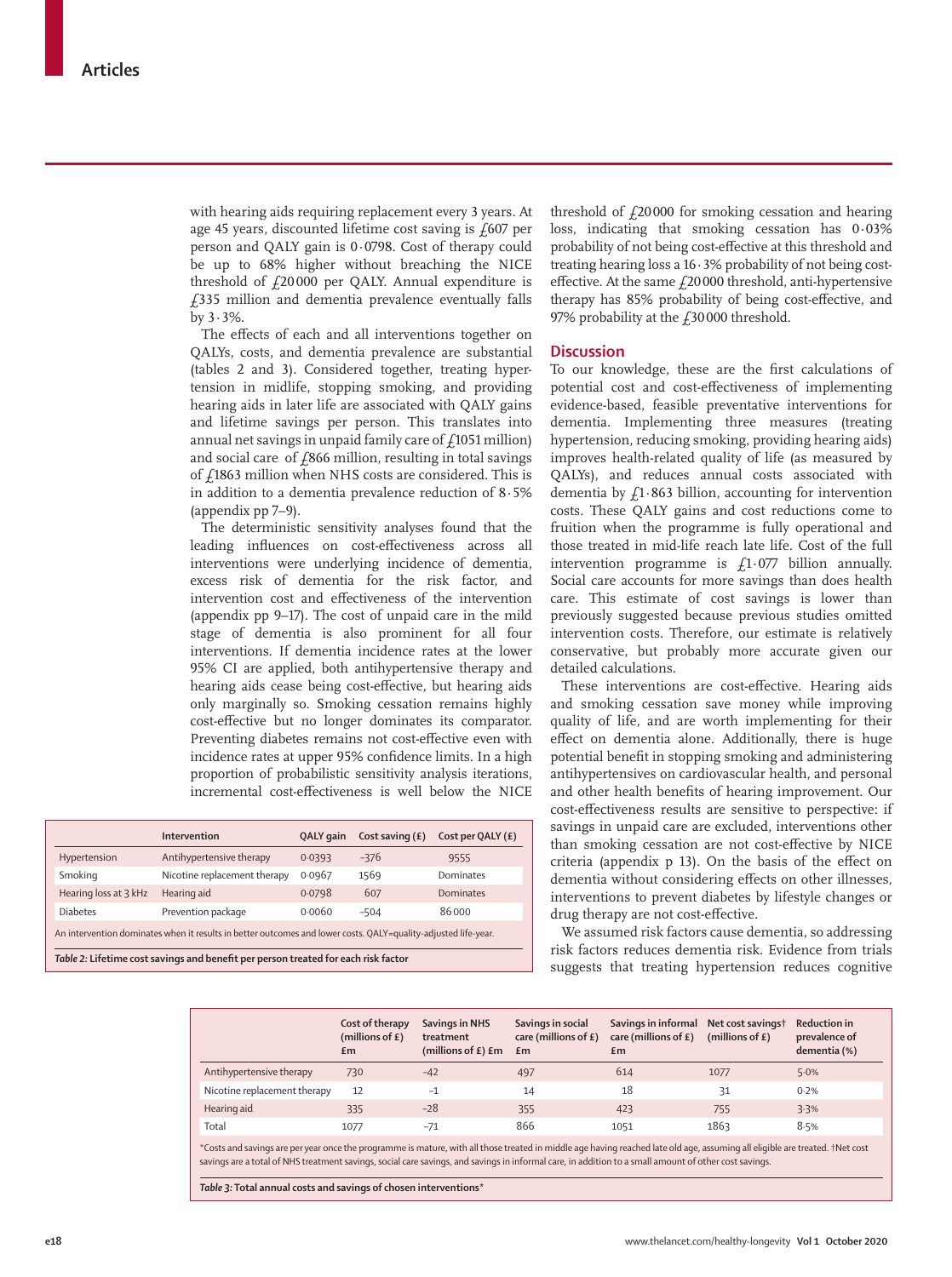with hearing aids requiring replacement every 3 years. At age 45 years, discounted lifetime cost saving is  $f607$  per person and QALY gain is 0·0798. Cost of therapy could be up to 68% higher without breaching the NICE threshold of  $f20000$  per QALY. Annual expenditure is £335 million and dementia prevalence eventually falls by 3·3%.

The effects of each and all interventions together on QALYs, costs, and dementia prevalence are substantial (tables 2 and 3). Considered together, treating hypertension in midlife, stopping smoking, and providing hearing aids in later life are associated with QALY gains and lifetime savings per person. This translates into annual net savings in unpaid family care of  $f1051$  million) and social care of  $f$ 866 million, resulting in total savings of  $f1863$  million when NHS costs are considered. This is in addition to a dementia prevalence reduction of 8·5% (appendix pp 7–9).

The deterministic sensitivity analyses found that the leading influences on cost-effectiveness across all interventions were underlying incidence of dementia, excess risk of dementia for the risk factor, and intervention cost and effectiveness of the intervention (appendix pp 9–17). The cost of unpaid care in the mild stage of dementia is also prominent for all four interventions. If dementia incidence rates at the lower 95% CI are applied, both antihypertensive therapy and hearing aids cease being cost-effective, but hearing aids only marginally so. Smoking cessation remains highly cost-effective but no longer dominates its comparator. Preventing diabetes remains not cost-effective even with incidence rates at upper 95% confidence limits. In a high proportion of probabilistic sensitivity analysis iterations, incremental cost-effectiveness is well below the NICE

|                                                                                                                | Intervention                 | QALY gain | Cost saving $(E)$ | Cost per QALY $(E)$ |  |
|----------------------------------------------------------------------------------------------------------------|------------------------------|-----------|-------------------|---------------------|--|
| Hypertension                                                                                                   | Antihypertensive therapy     | 0.0393    | $-376$            | 9555                |  |
| Smoking                                                                                                        | Nicotine replacement therapy | 0.0967    | 1569              | <b>Dominates</b>    |  |
| Hearing loss at 3 kHz                                                                                          | Hearing aid                  | 0.0798    | 607               | Dominates           |  |
| <b>Diabetes</b>                                                                                                | Prevention package           | 0.0060    | $-504$            | 86000               |  |
| An intervention dominates when it results in better outcomes and lower costs. QALY=quality-adjusted life-year. |                              |           |                   |                     |  |
| Table 2: Lifetime cost savings and benefit per person treated for each risk factor                             |                              |           |                   |                     |  |

threshold of  $f20000$  for smoking cessation and hearing loss, indicating that smoking cessation has 0·03% probability of not being cost-effective at this threshold and treating hearing loss a 16·3% probability of not being costeffective. At the same  $f20000$  threshold, anti-hypertensive therapy has 85% probability of being cost-effective, and 97% probability at the  $f$ 30000 threshold.

## **Discussion**

To our knowledge, these are the first calculations of potential cost and cost-effectiveness of implementing evidence-based, feasible preventative interventions for dementia. Implementing three measures (treating hypertension, reducing smoking, providing hearing aids) improves health-related quality of life (as measured by QALYs), and reduces annual costs associated with dementia by  $f_1$  863 billion, accounting for intervention costs. These QALY gains and cost reductions come to fruition when the programme is fully operational and those treated in mid-life reach late life. Cost of the full intervention programme is  $f_1$ 1.077 billion annually. Social care accounts for more savings than does health care. This estimate of cost savings is lower than previously suggested because previous studies omitted intervention costs. Therefore, our estimate is relatively conservative, but probably more accurate given our detailed calculations.

These interventions are cost-effective. Hearing aids and smoking cessation save money while improving quality of life, and are worth implementing for their effect on dementia alone. Additionally, there is huge potential benefit in stopping smoking and administering antihypertensives on cardiovascular health, and personal and other health benefits of hearing improvement. Our cost-effectiveness results are sensitive to perspective: if savings in unpaid care are excluded, interventions other than smoking cessation are not cost-effective by NICE criteria (appendix p 13). On the basis of the effect on dementia without considering effects on other illnesses, interventions to prevent diabetes by lifestyle changes or drug therapy are not cost-effective.

We assumed risk factors cause dementia, so addressing risk factors reduces dementia risk. Evidence from trials suggests that treating hypertension reduces cognitive

|                              | Cost of therapy<br>(millions of $E$ )<br>£m | Savings in NHS<br>treatment<br>(millions of $E$ ) $Em$ $Em$ | Savings in social<br>care (millions of $E$ ) | Savings in informal Net cost savings†<br>care (millions of $E$ )<br>£m | (millions of $E$ ) | <b>Reduction in</b><br>prevalence of<br>dementia (%) |
|------------------------------|---------------------------------------------|-------------------------------------------------------------|----------------------------------------------|------------------------------------------------------------------------|--------------------|------------------------------------------------------|
| Antihypertensive therapy     | 730                                         | $-42$                                                       | 497                                          | 614                                                                    | 1077               | 5.0%                                                 |
| Nicotine replacement therapy | 12                                          | $-1$                                                        | 14                                           | 18                                                                     | 31                 | 0.2%                                                 |
| Hearing aid                  | 335                                         | $-28$                                                       | 355                                          | 423                                                                    | 755                | 3.3%                                                 |
| Total                        | 1077                                        | $-71$                                                       | 866                                          | 1051                                                                   | 1863               | 8.5%                                                 |

\*Costs and savings are per year once the programme is mature, with all those treated in middle age having reached late old age, assuming all eligible are treated. †Net cost savings are a total of NHS treatment savings, social care savings, and savings in informal care, in addition to a small amount of other cost savings.

*Table 3:* **Total annual costs and savings of chosen interventions\***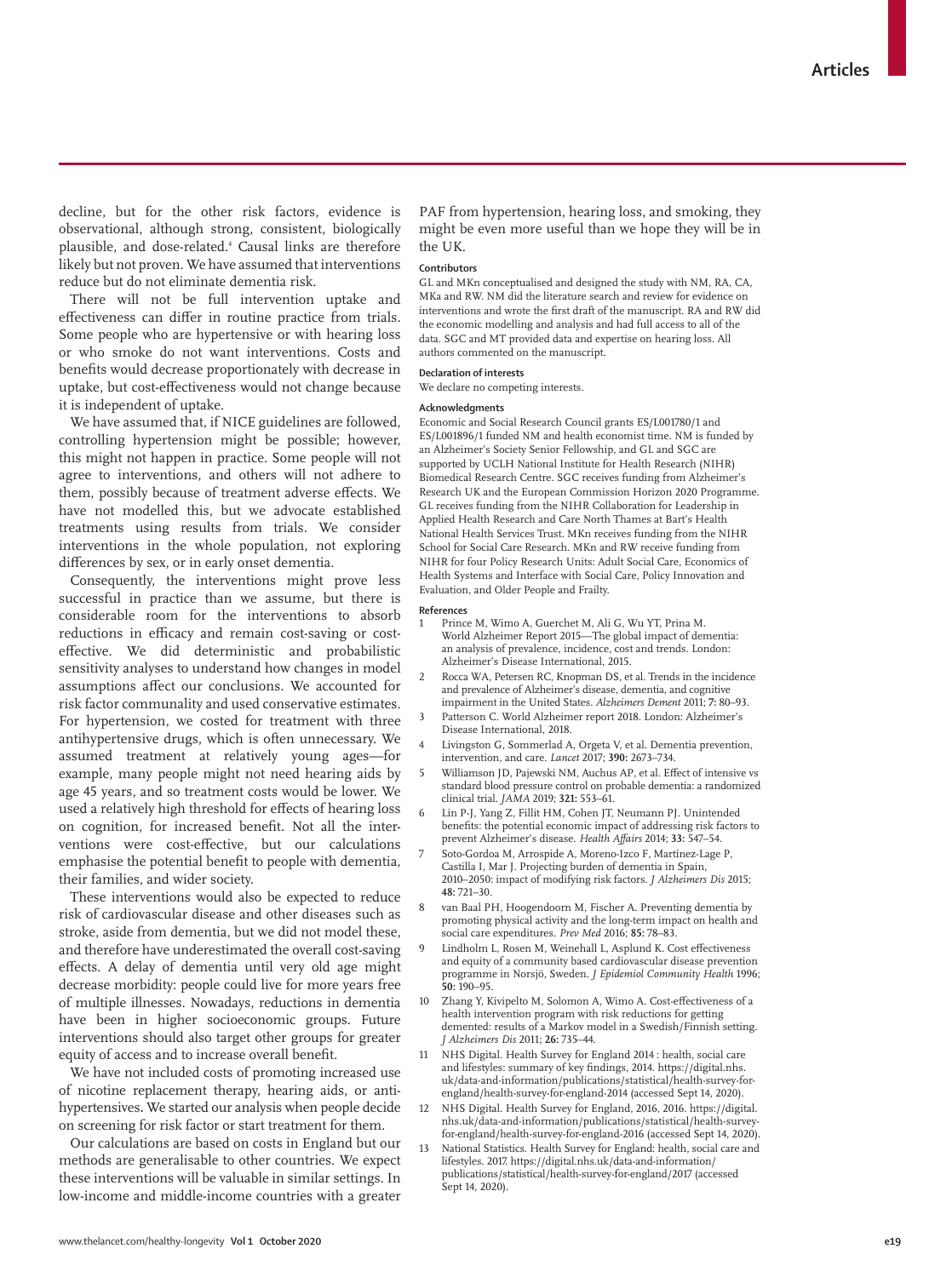decline, but for the other risk factors, evidence is observational, although strong, consistent, biologically plausible, and dose-related.4 Causal links are therefore likely but not proven. We have assumed that interventions reduce but do not eliminate dementia risk.

There will not be full intervention uptake and effectiveness can differ in routine practice from trials. Some people who are hypertensive or with hearing loss or who smoke do not want interventions. Costs and benefits would decrease proportionately with decrease in uptake, but cost-effectiveness would not change because it is independent of uptake.

We have assumed that, if NICE guidelines are followed, controlling hypertension might be possible; however, this might not happen in practice. Some people will not agree to interventions, and others will not adhere to them, possibly because of treatment adverse effects. We have not modelled this, but we advocate established treatments using results from trials. We consider interventions in the whole population, not exploring differences by sex, or in early onset dementia.

Consequently, the interventions might prove less successful in practice than we assume, but there is considerable room for the interventions to absorb reductions in efficacy and remain cost-saving or costeffective. We did deterministic and probabilistic sensitivity analyses to understand how changes in model assumptions affect our conclusions. We accounted for risk factor communality and used conservative estimates. For hypertension, we costed for treatment with three antihypertensive drugs, which is often unnecessary. We assumed treatment at relatively young ages—for example, many people might not need hearing aids by age 45 years, and so treatment costs would be lower. We used a relatively high threshold for effects of hearing loss on cognition, for increased benefit. Not all the interventions were cost-effective, but our calculations emphasise the potential benefit to people with dementia, their families, and wider society.

These interventions would also be expected to reduce risk of cardiovascular disease and other diseases such as stroke, aside from dementia, but we did not model these, and therefore have underestimated the overall cost-saving effects. A delay of dementia until very old age might decrease morbidity: people could live for more years free of multiple illnesses. Nowadays, reductions in dementia have been in higher socioeconomic groups. Future interventions should also target other groups for greater equity of access and to increase overall benefit.

We have not included costs of promoting increased use of nicotine replacement therapy, hearing aids, or antihypertensives**.** We started our analysis when people decide on screening for risk factor or start treatment for them.

Our calculations are based on costs in England but our methods are generalisable to other countries. We expect these interventions will be valuable in similar settings. In low-income and middle-income countries with a greater PAF from hypertension, hearing loss, and smoking, they might be even more useful than we hope they will be in the UK.

#### **Contributors**

GL and MKn conceptualised and designed the study with NM, RA, CA, MKa and RW. NM did the literature search and review for evidence on interventions and wrote the first draft of the manuscript. RA and RW did the economic modelling and analysis and had full access to all of the data. SGC and MT provided data and expertise on hearing loss. All authors commented on the manuscript.

# **Declaration of interests**

We declare no competing interests.

#### **Acknowledgments**

Economic and Social Research Council grants ES/L001780/1 and ES/L001896/1 funded NM and health economist time. NM is funded by an Alzheimer's Society Senior Fellowship, and GL and SGC are supported by UCLH National Institute for Health Research (NIHR) Biomedical Research Centre. SGC receives funding from Alzheimer's Research UK and the European Commission Horizon 2020 Programme. GL receives funding from the NIHR Collaboration for Leadership in Applied Health Research and Care North Thames at Bart's Health National Health Services Trust. MKn receives funding from the NIHR School for Social Care Research. MKn and RW receive funding from NIHR for four Policy Research Units: Adult Social Care, Economics of Health Systems and Interface with Social Care, Policy Innovation and Evaluation, and Older People and Frailty.

#### **References**

- 1 Prince M, Wimo A, Guerchet M, Ali G, Wu YT, Prina M. World Alzheimer Report 2015—The global impact of dementia: an analysis of prevalence, incidence, cost and trends. London: Alzheimer's Disease International, 2015.
- Rocca WA, Petersen RC, Knopman DS, et al. Trends in the incidence and prevalence of Alzheimer's disease, dementia, and cognitive impairment in the United States. *Alzheimers Dement* 2011; **7:** 80–93.
- 3 Patterson C. World Alzheimer report 2018. London: Alzheimer's Disease International, 2018.
- Livingston G, Sommerlad A, Orgeta V, et al. Dementia prevention, intervention, and care. *Lancet* 2017; **390:** 2673–734.
- 5 Williamson JD, Pajewski NM, Auchus AP, et al. Effect of intensive vs standard blood pressure control on probable dementia: a randomized clinical trial. *JAMA* 2019; **321:** 553–61.
- 6 Lin P-J, Yang Z, Fillit HM, Cohen JT, Neumann PJ. Unintended benefits: the potential economic impact of addressing risk factors to prevent Alzheimer's disease. *Health Affairs* 2014; **33:** 547–54.
- 7 Soto-Gordoa M, Arrospide A, Moreno-Izco F, Martínez-Lage P, Castilla I, Mar J. Projecting burden of dementia in Spain, 2010–2050: impact of modifying risk factors. *J Alzheimers Dis* 2015; **48:** 721–30.
- van Baal PH, Hoogendoorn M, Fischer A. Preventing dementia by promoting physical activity and the long-term impact on health and social care expenditures. *Prev Med* 2016; 85: 78–83.
- 9 Lindholm L, Rosen M, Weinehall L, Asplund K. Cost effectiveness and equity of a community based cardiovascular disease prevention programme in Norsjö, Sweden. *J Epidemiol Community Health* 1996; **50:** 190–95.
- 10 Zhang Y, Kivipelto M, Solomon A, Wimo A. Cost-effectiveness of a health intervention program with risk reductions for getting demented: results of a Markov model in a Swedish/Finnish setting. *J Alzheimers Dis* 2011; **26:** 735–44.
- NHS Digital. Health Survey for England 2014 : health, social care and lifestyles: summary of key findings, 2014. https://digital.nhs. uk/data-and-information/publications/statistical/health-survey-forengland/health-survey-for-england-2014 (accessed Sept 14, 2020).
- 12 NHS Digital. Health Survey for England, 2016, 2016. https://digital. nhs.uk/data-and-information/publications/statistical/health-surveyfor-england/health-survey-for-england-2016 (accessed Sept 14, 2020).
- 13 National Statistics. Health Survey for England: health, social care and lifestyles. 2017. https://digital.nhs.uk/data-and-information/ publications/statistical/health-survey-for-england/2017 (accessed Sept 14, 2020).